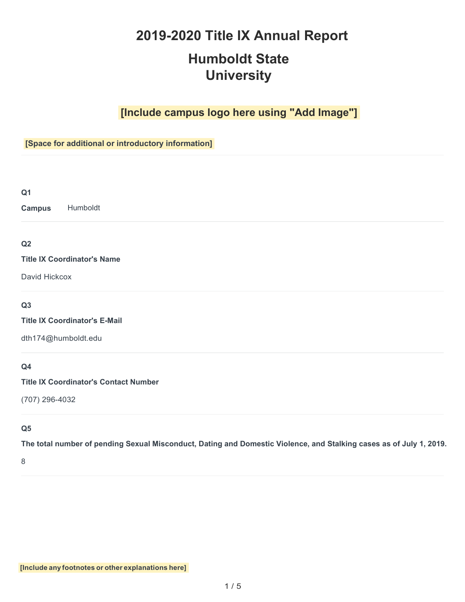# **2019-2020 Title IX Annual Report**

# **Humboldt State University**

# **[Include campus logo here using "Add Image"]**

# **[Space for additional or introductory information]**

| ٠<br>۰,<br>× | I<br>۰, |  |
|--------------|---------|--|
| M.<br>٠      |         |  |

**Campus** Humboldt

# **Q2**

#### **Title IX Coordinator's Name**

David Hickcox

## **Q3**

**Title IX Coordinator's E-Mail**

[dth174@humboldt.edu](mailto:dth174@humboldt.edu)

# **Q4**

#### **Title IX Coordinator's Contact Number**

(707) 296-4032

## **Q5**

**The total number of pending Sexual Misconduct, Dating and Domestic Violence, and Stalking cases as of July 1, 2019.**

8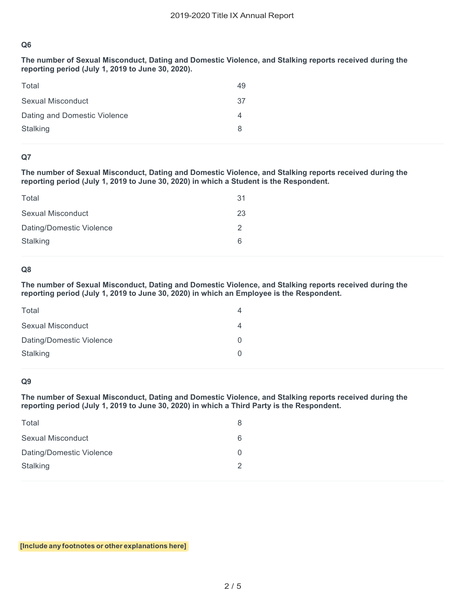**The number of Sexual Misconduct, Dating and Domestic Violence, and Stalking reports received during the reporting period (July 1, 2019 to June 30, 2020).**

| Total                        | 49 |
|------------------------------|----|
| Sexual Misconduct            | 37 |
| Dating and Domestic Violence | 4  |
| Stalking                     | 8  |

#### **Q7**

**The number of Sexual Misconduct, Dating and Domestic Violence, and Stalking reports received during the reporting period (July 1, 2019 to June 30, 2020) in which a Student is the Respondent.**

| Total                    | 31 |
|--------------------------|----|
| Sexual Misconduct        | 23 |
| Dating/Domestic Violence | 2  |
| <b>Stalking</b>          | 6  |
|                          |    |

#### **Q8**

**The number of Sexual Misconduct, Dating and Domestic Violence, and Stalking reports received during the reporting period (July 1, 2019 to June 30, 2020) in which an Employee is the Respondent.**

| Total                    |  |
|--------------------------|--|
| Sexual Misconduct        |  |
| Dating/Domestic Violence |  |
| Stalking                 |  |
|                          |  |

#### **Q9**

**The number of Sexual Misconduct, Dating and Domestic Violence, and Stalking reports received during the reporting period (July 1, 2019 to June 30, 2020) in which a Third Party is the Respondent.**

| Total                    |   |
|--------------------------|---|
| <b>Sexual Misconduct</b> | 6 |
| Dating/Domestic Violence |   |
| Stalking                 |   |
|                          |   |

**[Include any footnotes or other explanations here]**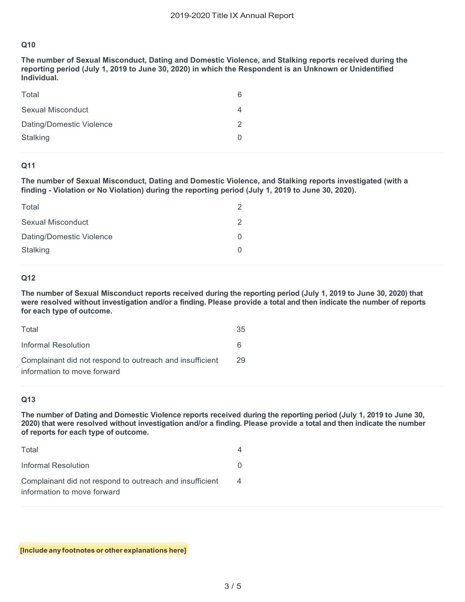**The number of Sexual Misconduct, Dating and Domestic Violence, and Stalking reports received during the reporting period (July 1, 2019 to June 30, 2020) in which the Respondent is an Unknown or Unidentified Individual.**

| Total                    | 6 |
|--------------------------|---|
| Sexual Misconduct        | 4 |
| Dating/Domestic Violence | 2 |
| Stalking                 |   |

#### **Q11**

**The number of Sexual Misconduct, Dating and Domestic Violence, and Stalking reports investigated (with a finding - Violation or No Violation) during the reporting period (July 1, 2019 to June 30, 2020).**

| Total                    | 2 |
|--------------------------|---|
| Sexual Misconduct        | 2 |
| Dating/Domestic Violence | 0 |
| <b>Stalking</b>          | ∩ |

#### **Q12**

**The number of Sexual Misconduct reports received during the reporting period (July 1, 2019 to June 30, 2020) that were resolved without investigation and/or a finding. Please provide a total and then indicate the number of reports for each type of outcome.**

| Total                                                    | 35 |
|----------------------------------------------------------|----|
| Informal Resolution                                      |    |
| Complainant did not respond to outreach and insufficient | 29 |
| information to move forward                              |    |

#### **Q13**

**The number of Dating and Domestic Violence reports received during the reporting period (July 1, 2019 to June 30, 2020) that were resolved without investigation and/or a finding. Please provide a total and then indicate the number of reports for each type of outcome.**

| Total                                                                                   | 4 |
|-----------------------------------------------------------------------------------------|---|
| Informal Resolution                                                                     |   |
| Complainant did not respond to outreach and insufficient<br>information to move forward |   |

**[Include any footnotes or other explanations here]**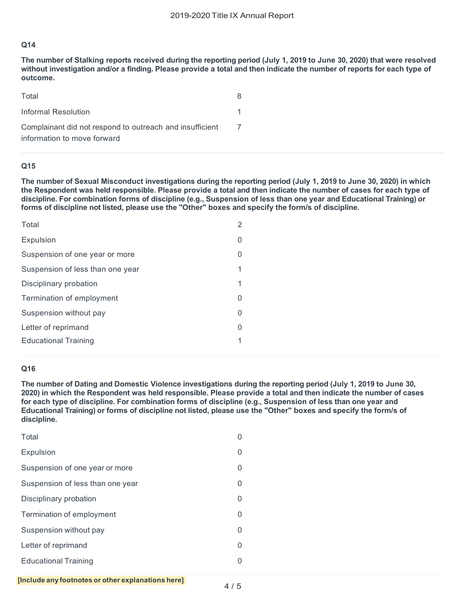**The number of Stalking reports received during the reporting period (July 1, 2019 to June 30, 2020) that were resolved without investigation and/or a finding. Please provide a total and then indicate the number of reports for each type of outcome.**

| Total                                                    | 8. |
|----------------------------------------------------------|----|
| Informal Resolution                                      |    |
| Complainant did not respond to outreach and insufficient |    |
| information to move forward                              |    |

#### **Q15**

**The number of Sexual Misconduct investigations during the reporting period (July 1, 2019 to June 30, 2020) in which the Respondent was held responsible. Please provide a total and then indicate the number of cases for each type of discipline. For combination forms of discipline (e.g., Suspension of less than one year and Educational Training) or forms of discipline not listed, please use the "Other" boxes and specify the form/s of discipline.**

| 2 |
|---|
| 0 |
| 0 |
| 1 |
| 1 |
| 0 |
| 0 |
| 0 |
| 1 |
|   |

#### **Q16**

**The number of Dating and Domestic Violence investigations during the reporting period (July 1, 2019 to June 30, 2020) in which the Respondent was held responsible. Please provide a total and then indicate the number of cases for each type of discipline. For combination forms of discipline (e.g., Suspension of less than one year and Educational Training) or forms of discipline not listed, please use the "Other" boxes and specify the form/s of discipline.**

| 0 |
|---|
| 0 |
| 0 |
| 0 |
| 0 |
| 0 |
| 0 |
| 0 |
| 0 |
|   |